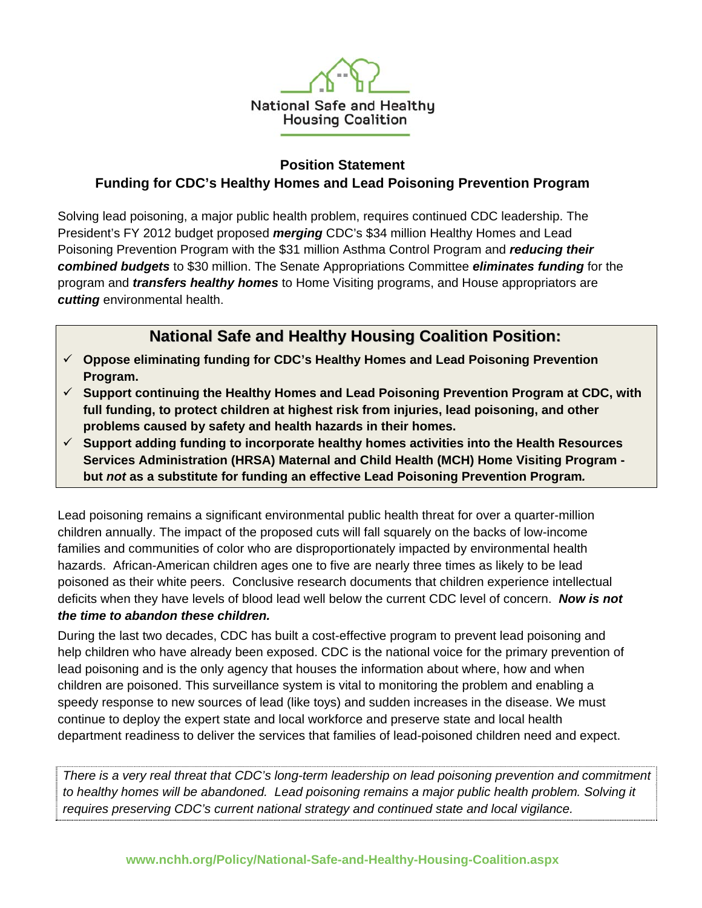

### **Position Statement Funding for CDC's Healthy Homes and Lead Poisoning Prevention Program**

Solving lead poisoning, a major public health problem, requires continued CDC leadership. The President's FY 2012 budget proposed *merging* CDC's \$34 million Healthy Homes and Lead Poisoning Prevention Program with the \$31 million Asthma Control Program and *reducing their combined budgets* to \$30 million. The Senate Appropriations Committee *eliminates funding* for the program and *transfers healthy homes* to Home Visiting programs, and House appropriators are *cutting* environmental health.

# **National Safe and Healthy Housing Coalition Position:**

- **Oppose eliminating funding for CDC's Healthy Homes and Lead Poisoning Prevention Program.**
- **Support continuing the Healthy Homes and Lead Poisoning Prevention Program at CDC, with full funding, to protect children at highest risk from injuries, lead poisoning, and other problems caused by safety and health hazards in their homes.**
- **Support adding funding to incorporate healthy homes activities into the Health Resources Services Administration (HRSA) Maternal and Child Health (MCH) Home Visiting Program but** *not* **as a substitute for funding an effective Lead Poisoning Prevention Program***.*

Lead poisoning remains a significant environmental public health threat for over a quarter-million children annually. The impact of the proposed cuts will fall squarely on the backs of low-income families and communities of color who are disproportionately impacted by environmental health hazards. African-American children ages one to five are nearly three times as likely to be lead poisoned as their white peers. Conclusive research documents that children experience intellectual deficits when they have levels of blood lead well below the current CDC level of concern. *Now is not the time to abandon these children.* 

During the last two decades, CDC has built a cost-effective program to prevent lead poisoning and help children who have already been exposed. CDC is the national voice for the primary prevention of lead poisoning and is the only agency that houses the information about where, how and when children are poisoned. This surveillance system is vital to monitoring the problem and enabling a speedy response to new sources of lead (like toys) and sudden increases in the disease. We must continue to deploy the expert state and local workforce and preserve state and local health department readiness to deliver the services that families of lead-poisoned children need and expect.

*There is a very real threat that CDC's long-term leadership on lead poisoning prevention and commitment*  to healthy homes will be abandoned. Lead poisoning remains a major public health problem. Solving it *requires preserving CDC's current national strategy and continued state and local vigilance.*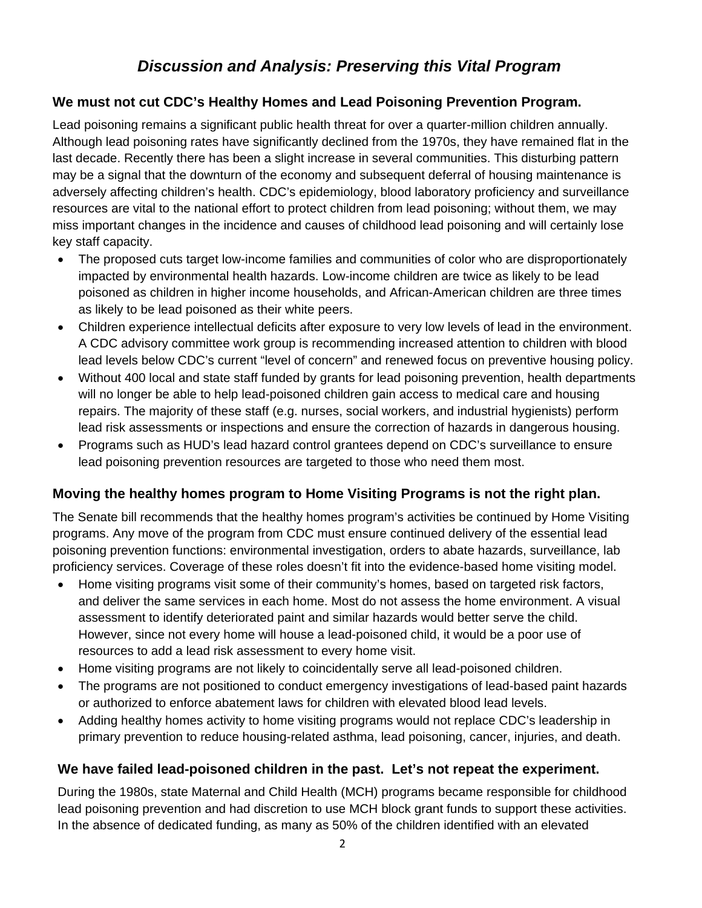# *Discussion and Analysis: Preserving this Vital Program*

#### **We must not cut CDC's Healthy Homes and Lead Poisoning Prevention Program.**

Lead poisoning remains a significant public health threat for over a quarter-million children annually. Although lead poisoning rates have significantly declined from the 1970s, they have remained flat in the last decade. Recently there has been a slight increase in several communities. This disturbing pattern may be a signal that the downturn of the economy and subsequent deferral of housing maintenance is adversely affecting children's health. CDC's epidemiology, blood laboratory proficiency and surveillance resources are vital to the national effort to protect children from lead poisoning; without them, we may miss important changes in the incidence and causes of childhood lead poisoning and will certainly lose key staff capacity.

- The proposed cuts target low-income families and communities of color who are disproportionately impacted by environmental health hazards. Low-income children are twice as likely to be lead poisoned as children in higher income households, and African-American children are three times as likely to be lead poisoned as their white peers.
- Children experience intellectual deficits after exposure to very low levels of lead in the environment. A CDC advisory committee work group is recommending increased attention to children with blood lead levels below CDC's current "level of concern" and renewed focus on preventive housing policy.
- Without 400 local and state staff funded by grants for lead poisoning prevention, health departments will no longer be able to help lead-poisoned children gain access to medical care and housing repairs. The majority of these staff (e.g. nurses, social workers, and industrial hygienists) perform lead risk assessments or inspections and ensure the correction of hazards in dangerous housing.
- Programs such as HUD's lead hazard control grantees depend on CDC's surveillance to ensure lead poisoning prevention resources are targeted to those who need them most.

## **Moving the healthy homes program to Home Visiting Programs is not the right plan.**

The Senate bill recommends that the healthy homes program's activities be continued by Home Visiting programs. Any move of the program from CDC must ensure continued delivery of the essential lead poisoning prevention functions: environmental investigation, orders to abate hazards, surveillance, lab proficiency services. Coverage of these roles doesn't fit into the evidence-based home visiting model.

- Home visiting programs visit some of their community's homes, based on targeted risk factors, and deliver the same services in each home. Most do not assess the home environment. A visual assessment to identify deteriorated paint and similar hazards would better serve the child. However, since not every home will house a lead-poisoned child, it would be a poor use of resources to add a lead risk assessment to every home visit.
- Home visiting programs are not likely to coincidentally serve all lead-poisoned children.
- The programs are not positioned to conduct emergency investigations of lead-based paint hazards or authorized to enforce abatement laws for children with elevated blood lead levels.
- Adding healthy homes activity to home visiting programs would not replace CDC's leadership in primary prevention to reduce housing-related asthma, lead poisoning, cancer, injuries, and death.

## **We have failed lead-poisoned children in the past. Let's not repeat the experiment.**

During the 1980s, state Maternal and Child Health (MCH) programs became responsible for childhood lead poisoning prevention and had discretion to use MCH block grant funds to support these activities. In the absence of dedicated funding, as many as 50% of the children identified with an elevated